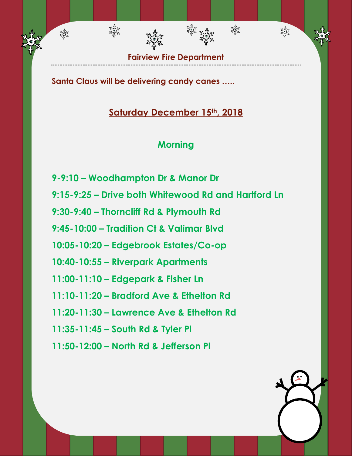

雞

淼

**Santa Claus will be delivering candy canes …..**

淡紫

淡紫

# **Saturday December 15th, 2018**

## **Morning**

- **9-9:10 – Woodhampton Dr & Manor Dr**
- **9:15-9:25 – Drive both Whitewood Rd and Hartford Ln**
- **9:30-9:40 – Thorncliff Rd & Plymouth Rd**
- **9:45-10:00 – Tradition Ct & Valimar Blvd**
- **10:05-10:20 – Edgebrook Estates/Co-op**
- **10:40-10:55 – Riverpark Apartments**
- **11:00-11:10 – Edgepark & Fisher Ln**
- **11:10-11:20 – Bradford Ave & Ethelton Rd**
- **11:20-11:30 – Lawrence Ave & Ethelton Rd**
- **11:35-11:45 – South Rd & Tyler Pl**
- **11:50-12:00 – North Rd & Jefferson Pl**

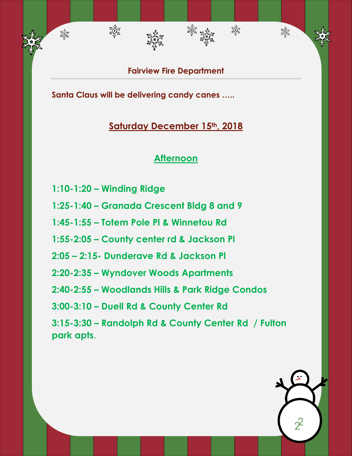**Fairview Fire Department**

绿森

滋养

翠绿

**Santa Claus will be delivering candy canes …..**

#### **Saturday December 15th, 2018**

#### **Afternoon**

**1:10-1:20 – Winding Ridge** 

淡淡

翠绿

- **1:25-1:40 – Granada Crescent Bldg 8 and 9**
- **1:45-1:55 – Totem Pole Pl & Winnetou Rd**
- **1:55-2:05 – County center rd & Jackson Pl**
- **2:05 – 2:15- Dunderave Rd & Jackson Pl**
- **2:20-2:35 – Wyndover Woods Apartments**
- **2:40-2:55 – Woodlands Hills & Park Ridge Condos**
- **3:00-3:10 – Duell Rd & County Center Rd**
- **3:15-3:30 – Randolph Rd & County Center Rd / Fulton park apts**.

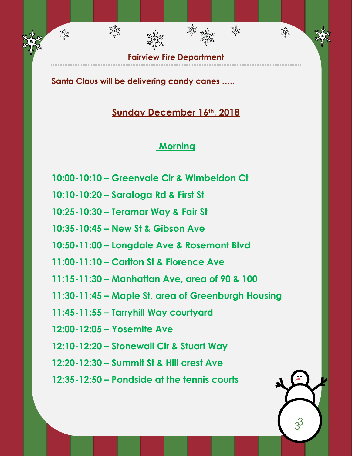**Fairview Fire Department**

鞣

淼

**Santa Claus will be delivering candy canes …..**

भूमैक<br>संगुरि

翠绿

# **Sunday December 16th, 2018**

# **Morning**

- **10:00-10:10 – Greenvale Cir & Wimbeldon Ct**
- **10:10-10:20 – Saratoga Rd & First St**
- **10:25-10:30 – Teramar Way & Fair St**
- **10:35-10:45 – New St & Gibson Ave**
- **10:50-11:00 – Longdale Ave & Rosemont Blvd**
- **11:00-11:10 – Carlton St & Florence Ave**
- **11:15-11:30 – Manhattan Ave, area of 90 & 100**
- **11:30-11:45 – Maple St, area of Greenburgh Housing**
- **11:45-11:55 – Tarryhill Way courtyard**
- **12:00-12:05 – Yosemite Ave**
- **12:10-12:20 – Stonewall Cir & Stuart Way**
- **12:20-12:30 – Summit St & Hill crest Ave**
- **12:35-12:50 – Pondside at the tennis courts**